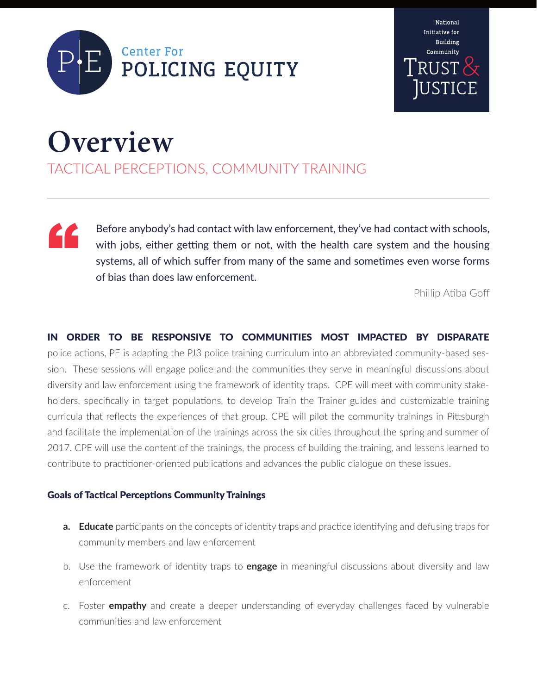



## **Overview**

TACTICAL PERCEPTIONS, COMMUNITY TRAINING

Before anybody's had contact with law enforcement, they've had contact with schools, with jobs, either getting them or not, with the health care system and the housing systems, all of which suffer from many of the same and sometimes even worse forms of bias than does law enforcement. "

Phillip Atiba Goff

IN ORDER TO BE RESPONSIVE TO COMMUNITIES MOST IMPACTED BY DISPARATE police actions, PE is adapting the PJ3 police training curriculum into an abbreviated community-based session. These sessions will engage police and the communities they serve in meaningful discussions about diversity and law enforcement using the framework of identity traps. CPE will meet with community stakeholders, specifically in target populations, to develop Train the Trainer guides and customizable training curricula that reflects the experiences of that group. CPE will pilot the community trainings in Pittsburgh and facilitate the implementation of the trainings across the six cities throughout the spring and summer of 2017. CPE will use the content of the trainings, the process of building the training, and lessons learned to contribute to practitioner-oriented publications and advances the public dialogue on these issues.

## Goals of Tactical Perceptions Community Trainings

- **a. Educate** participants on the concepts of identity traps and practice identifying and defusing traps for community members and law enforcement
- b. Use the framework of identity traps to **engage** in meaningful discussions about diversity and law enforcement
- c. Foster **empathy** and create a deeper understanding of everyday challenges faced by vulnerable communities and law enforcement